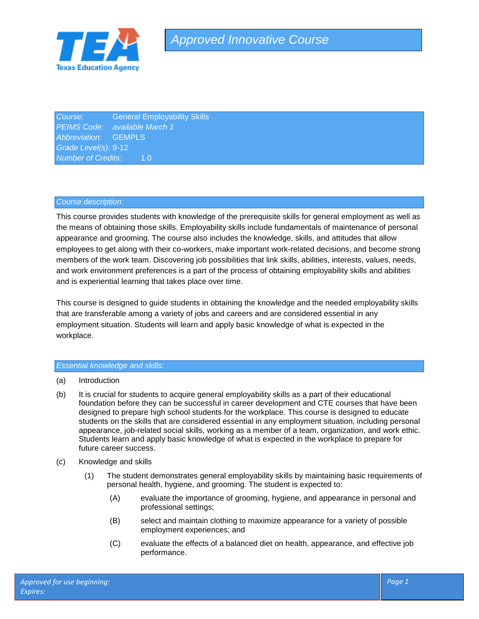

**Course:** General Employability Skills *PEIMS Code: available March 1 Abbreviation:* GEMPLS *Grade Level(s):* 9-12 *Number of Credits:* 1.0

### *Course description:*

This course provides students with knowledge of the prerequisite skills for general employment as well as the means of obtaining those skills. Employability skills include fundamentals of maintenance of personal appearance and grooming. The course also includes the knowledge, skills, and attitudes that allow employees to get along with their co-workers, make important work-related decisions, and become strong members of the work team. Discovering job possibilities that link skills, abilities, interests, values, needs, and work environment preferences is a part of the process of obtaining employability skills and abilities and is experiential learning that takes place over time.

This course is designed to guide students in obtaining the knowledge and the needed employability skills that are transferable among a variety of jobs and careers and are considered essential in any employment situation. Students will learn and apply basic knowledge of what is expected in the workplace.

### *Essential knowledge and skills:*

- (a) Introduction
- (b) It is crucial for students to acquire general employability skills as a part of their educational foundation before they can be successful in career development and CTE courses that have been designed to prepare high school students for the workplace. This course is designed to educate students on the skills that are considered essential in any employment situation, including personal appearance, job-related social skills, working as a member of a team, organization, and work ethic. Students learn and apply basic knowledge of what is expected in the workplace to prepare for future career success.
- (c) Knowledge and skills
	- (1) The student demonstrates general employability skills by maintaining basic requirements of personal health, hygiene, and grooming. The student is expected to:
		- (A) evaluate the importance of grooming, hygiene, and appearance in personal and professional settings;
		- (B) select and maintain clothing to maximize appearance for a variety of possible employment experiences; and
		- (C) evaluate the effects of a balanced diet on health, appearance, and effective job performance.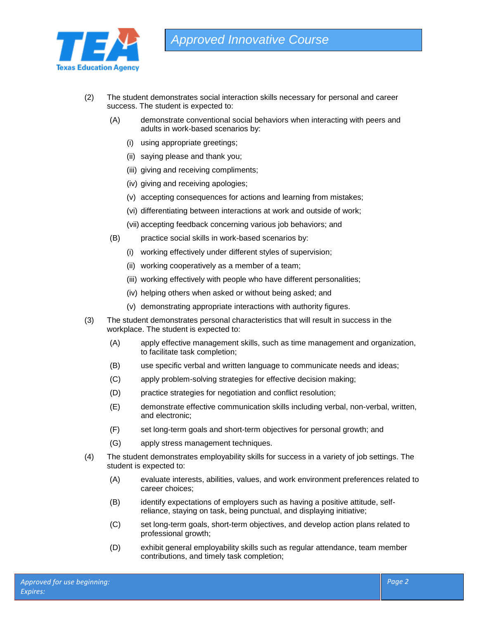

- (2) The student demonstrates social interaction skills necessary for personal and career success. The student is expected to:
	- (A) demonstrate conventional social behaviors when interacting with peers and adults in work-based scenarios by:
		- (i) using appropriate greetings;
		- (ii) saying please and thank you;
		- (iii) giving and receiving compliments;
		- (iv) giving and receiving apologies;
		- (v) accepting consequences for actions and learning from mistakes;
		- (vi) differentiating between interactions at work and outside of work;
		- (vii) accepting feedback concerning various job behaviors; and
	- (B) practice social skills in work-based scenarios by:
		- (i) working effectively under different styles of supervision;
		- (ii) working cooperatively as a member of a team;
		- (iii) working effectively with people who have different personalities;
		- (iv) helping others when asked or without being asked; and
		- (v) demonstrating appropriate interactions with authority figures.
- (3) The student demonstrates personal characteristics that will result in success in the workplace. The student is expected to:
	- (A) apply effective management skills, such as time management and organization, to facilitate task completion;
	- (B) use specific verbal and written language to communicate needs and ideas;
	- (C) apply problem-solving strategies for effective decision making;
	- (D) practice strategies for negotiation and conflict resolution;
	- (E) demonstrate effective communication skills including verbal, non-verbal, written, and electronic;
	- (F) set long-term goals and short-term objectives for personal growth; and
	- (G) apply stress management techniques.
- (4) The student demonstrates employability skills for success in a variety of job settings. The student is expected to:
	- (A) evaluate interests, abilities, values, and work environment preferences related to career choices;
	- (B) identify expectations of employers such as having a positive attitude, selfreliance, staying on task, being punctual, and displaying initiative;
	- (C) set long-term goals, short-term objectives, and develop action plans related to professional growth;
	- (D) exhibit general employability skills such as regular attendance, team member contributions, and timely task completion;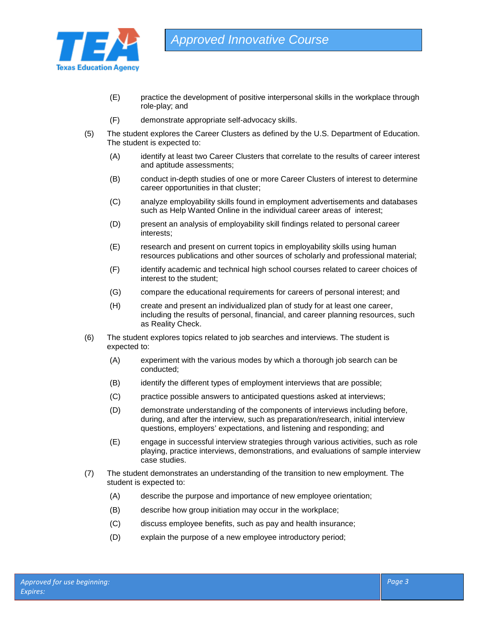

- (E) practice the development of positive interpersonal skills in the workplace through role-play; and
- (F) demonstrate appropriate self-advocacy skills.
- (5) The student explores the Career Clusters as defined by the U.S. Department of Education. The student is expected to:
	- (A) identify at least two Career Clusters that correlate to the results of career interest and aptitude assessments;
	- (B) conduct in-depth studies of one or more Career Clusters of interest to determine career opportunities in that cluster;
	- (C) analyze employability skills found in employment advertisements and databases such as Help Wanted Online in the individual career areas of interest;
	- (D) present an analysis of employability skill findings related to personal career interests;
	- (E) research and present on current topics in employability skills using human resources publications and other sources of scholarly and professional material;
	- (F) identify academic and technical high school courses related to career choices of interest to the student;
	- (G) compare the educational requirements for careers of personal interest; and
	- (H) create and present an individualized plan of study for at least one career, including the results of personal, financial, and career planning resources, such as Reality Check.
- (6) The student explores topics related to job searches and interviews. The student is expected to:
	- (A) experiment with the various modes by which a thorough job search can be conducted;
	- (B) identify the different types of employment interviews that are possible;
	- (C) practice possible answers to anticipated questions asked at interviews;
	- (D) demonstrate understanding of the components of interviews including before, during, and after the interview, such as preparation/research, initial interview questions, employers' expectations, and listening and responding; and
	- (E) engage in successful interview strategies through various activities, such as role playing, practice interviews, demonstrations, and evaluations of sample interview case studies.
- (7) The student demonstrates an understanding of the transition to new employment. The student is expected to:
	- (A) describe the purpose and importance of new employee orientation;
	- (B) describe how group initiation may occur in the workplace;
	- (C) discuss employee benefits, such as pay and health insurance;
	- (D) explain the purpose of a new employee introductory period;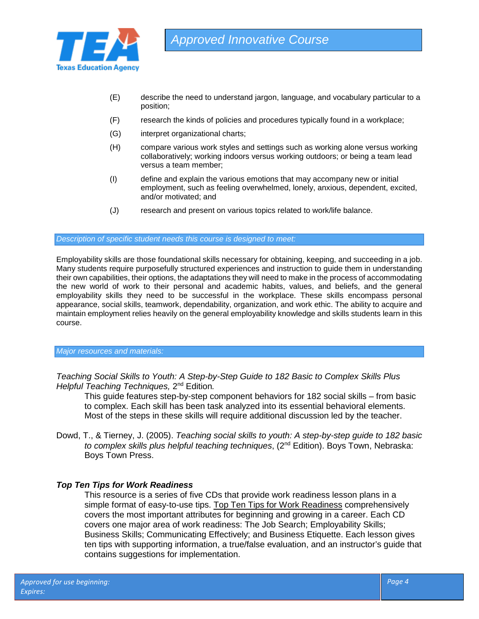

- (E) describe the need to understand jargon, language, and vocabulary particular to a position;
- (F) research the kinds of policies and procedures typically found in a workplace;
- (G) interpret organizational charts;
- (H) compare various work styles and settings such as working alone versus working collaboratively; working indoors versus working outdoors; or being a team lead versus a team member;
- (I) define and explain the various emotions that may accompany new or initial employment, such as feeling overwhelmed, lonely, anxious, dependent, excited, and/or motivated; and
- (J) research and present on various topics related to work/life balance.

*Description of specific student needs this course is designed to meet:*

Employability skills are those foundational skills necessary for obtaining, keeping, and succeeding in a job. Many students require purposefully structured experiences and instruction to guide them in understanding their own capabilities, their options, the adaptations they will need to make in the process of accommodating the new world of work to their personal and academic habits, values, and beliefs, and the general employability skills they need to be successful in the workplace. These skills encompass personal appearance, social skills, teamwork, dependability, organization, and work ethic. The ability to acquire and maintain employment relies heavily on the general employability knowledge and skills students learn in this course.

### *Major resources and materials:*

*Teaching Social Skills to Youth: A Step-by-Step Guide to 182 Basic to Complex Skills Plus Helpful Teaching Techniques,* 2nd Edition*.*

This guide features step-by-step component behaviors for 182 social skills – from basic to complex. Each skill has been task analyzed into its essential behavioral elements. Most of the steps in these skills will require additional discussion led by the teacher.

Dowd, T., & Tierney, J. (2005). *Teaching social skills to youth: A step-by-step guide to 182 basic to complex skills plus helpful teaching techniques*, (2nd Edition). Boys Town, Nebraska: Boys Town Press.

# *Top Ten Tips for Work Readiness*

This resource is a series of five CDs that provide work readiness lesson plans in a simple format of easy-to-use tips. Top Ten Tips for Work Readiness comprehensively covers the most important attributes for beginning and growing in a career. Each CD covers one major area of work readiness: The Job Search; Employability Skills; Business Skills; Communicating Effectively; and Business Etiquette. Each lesson gives ten tips with supporting information, a true/false evaluation, and an instructor's guide that contains suggestions for implementation.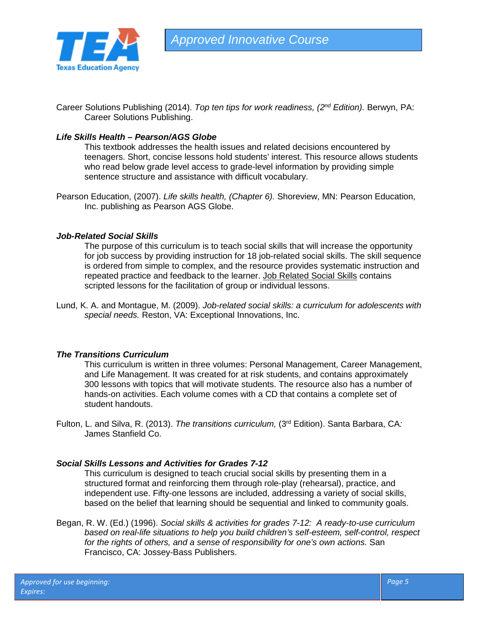

Career Solutions Publishing (2014). *Top ten tips for work readiness, (2nd Edition).* Berwyn, PA: Career Solutions Publishing.

# *Life Skills Health – Pearson/AGS Globe*

This textbook addresses the health issues and related decisions encountered by teenagers. Short, concise lessons hold students' interest. This resource allows students who read below grade level access to grade-level information by providing simple sentence structure and assistance with difficult vocabulary.

Pearson Education, (2007). *Life skills health, (Chapter 6).* Shoreview, MN: Pearson Education, Inc. publishing as Pearson AGS Globe.

## *Job-Related Social Skills*

The purpose of this curriculum is to teach social skills that will increase the opportunity for job success by providing instruction for 18 job-related social skills. The skill sequence is ordered from simple to complex, and the resource provides systematic instruction and repeated practice and feedback to the learner. Job Related Social Skills contains scripted lessons for the facilitation of group or individual lessons.

Lund, K. A. and Montague, M. (2009). *Job-related social skills: a curriculum for adolescents with special needs.* Reston, VA: Exceptional Innovations, Inc.

### *The Transitions Curriculum*

This curriculum is written in three volumes: Personal Management, Career Management, and Life Management. It was created for at risk students, and contains approximately 300 lessons with topics that will motivate students. The resource also has a number of hands-on activities. Each volume comes with a CD that contains a complete set of student handouts.

Fulton, L. and Silva, R. (2013). *The transitions curriculum,* (3rd Edition). Santa Barbara, CA*:*  James Stanfield Co.

# *Social Skills Lessons and Activities for Grades 7-12*

This curriculum is designed to teach crucial social skills by presenting them in a structured format and reinforcing them through role-play (rehearsal), practice, and independent use. Fifty-one lessons are included, addressing a variety of social skills, based on the belief that learning should be sequential and linked to community goals.

Began, R. W. (Ed.) (1996). *Social skills & activities for grades 7-12: A ready-to-use curriculum based on real-life situations to help you build children's self-esteem, self-control, respect*  for the rights of others, and a sense of responsibility for one's own actions. San Francisco, CA: Jossey-Bass Publishers.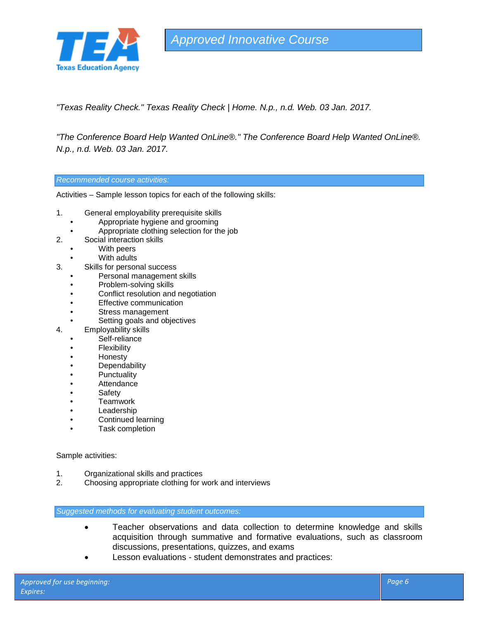

*Approved Innovative Course*

*"Texas Reality Check." Texas Reality Check | Home. N.p., n.d. Web. 03 Jan. 2017.*

*"The Conference Board Help Wanted OnLine®." The Conference Board Help Wanted OnLine®. N.p., n.d. Web. 03 Jan. 2017.*

*Recommended course activities:*

Activities – Sample lesson topics for each of the following skills:

- 1. General employability prerequisite skills
	- Appropriate hygiene and grooming
	- Appropriate clothing selection for the job
- 2. Social interaction skills
	- With peers
	- With adults
- 3. Skills for personal success
	- Personal management skills
	- Problem-solving skills
	- Conflict resolution and negotiation
	- **Effective communication**
	- Stress management
	- Setting goals and objectives
- 4. Employability skills
	- Self-reliance
	- **Flexibility**
	- Honesty
	- **Dependability**
	- **Punctuality**
	- **Attendance**
	- **Safety**
	- Teamwork
	- Leadership
	- Continued learning
	- Task completion

Sample activities:

- 1. Organizational skills and practices
- 2. Choosing appropriate clothing for work and interviews

*Suggested methods for evaluating student outcomes:*

- Teacher observations and data collection to determine knowledge and skills acquisition through summative and formative evaluations, such as classroom discussions, presentations, quizzes, and exams
- Lesson evaluations student demonstrates and practices: